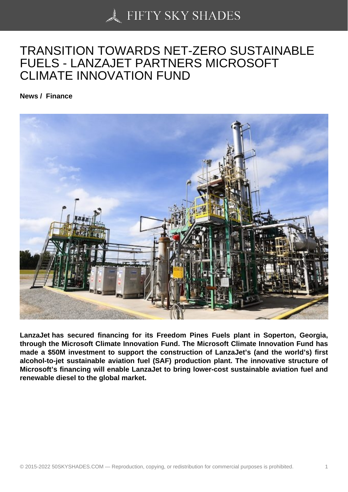## [TRANSITION TOWAR](https://50skyshades.com)DS NET-ZERO SUSTAINABLE FUELS - LANZAJET PARTNERS MICROSOFT CLIMATE INNOVATION FUND

News / Finance

LanzaJet has secured financing for its Freedom Pines Fuels plant in Soperton, Georgia, through the Microsoft Climate Innovation Fund. The Microsoft Climate Innovation Fund has made a \$50M investment to support the construction of LanzaJet's (and the world's) first alcohol-to-jet sustainable aviation fuel (SAF) production plant. The innovative structure of Microsoft's financing will enable LanzaJet to bring lower-cost sustainable aviation fuel and renewable diesel to the global market.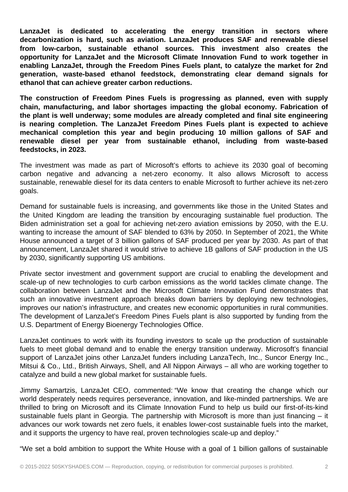**LanzaJet is dedicated to accelerating the energy transition in sectors where decarbonization is hard, such as aviation. LanzaJet produces SAF and renewable diesel from low-carbon, sustainable ethanol sources. This investment also creates the opportunity for LanzaJet and the Microsoft Climate Innovation Fund to work together in enabling LanzaJet, through the Freedom Pines Fuels plant, to catalyze the market for 2nd generation, waste-based ethanol feedstock, demonstrating clear demand signals for ethanol that can achieve greater carbon reductions.**

**The construction of Freedom Pines Fuels is progressing as planned, even with supply chain, manufacturing, and labor shortages impacting the global economy. Fabrication of the plant is well underway; some modules are already completed and final site engineering is nearing completion. The LanzaJet Freedom Pines Fuels plant is expected to achieve mechanical completion this year and begin producing 10 million gallons of SAF and renewable diesel per year from sustainable ethanol, including from waste-based feedstocks, in 2023.**

The investment was made as part of Microsoft's efforts to achieve its 2030 goal of becoming carbon negative and advancing a net-zero economy. It also allows Microsoft to access sustainable, renewable diesel for its data centers to enable Microsoft to further achieve its net-zero goals.

Demand for sustainable fuels is increasing, and governments like those in the United States and the United Kingdom are leading the transition by encouraging sustainable fuel production. The Biden administration set a goal for achieving net-zero aviation emissions by 2050, with the E.U. wanting to increase the amount of SAF blended to 63% by 2050. In September of 2021, the White House announced a target of 3 billion gallons of SAF produced per year by 2030. As part of that announcement, LanzaJet shared it would strive to achieve 1B gallons of SAF production in the US by 2030, significantly supporting US ambitions.

Private sector investment and government support are crucial to enabling the development and scale-up of new technologies to curb carbon emissions as the world tackles climate change. The collaboration between LanzaJet and the Microsoft Climate Innovation Fund demonstrates that such an innovative investment approach breaks down barriers by deploying new technologies, improves our nation's infrastructure, and creates new economic opportunities in rural communities. The development of LanzaJet's Freedom Pines Fuels plant is also supported by funding from the U.S. Department of Energy Bioenergy Technologies Office.

LanzaJet continues to work with its founding investors to scale up the production of sustainable fuels to meet global demand and to enable the energy transition underway. Microsoft's financial support of LanzaJet joins other LanzaJet funders including LanzaTech, Inc., Suncor Energy Inc., Mitsui & Co., Ltd., British Airways, Shell, and All Nippon Airways – all who are working together to catalyze and build a new global market for sustainable fuels.

Jimmy Samartzis, LanzaJet CEO, commented: "We know that creating the change which our world desperately needs requires perseverance, innovation, and like-minded partnerships. We are thrilled to bring on Microsoft and its Climate Innovation Fund to help us build our first-of-its-kind sustainable fuels plant in Georgia. The partnership with Microsoft is more than just financing – it advances our work towards net zero fuels, it enables lower-cost sustainable fuels into the market, and it supports the urgency to have real, proven technologies scale-up and deploy."

"We set a bold ambition to support the White House with a goal of 1 billion gallons of sustainable